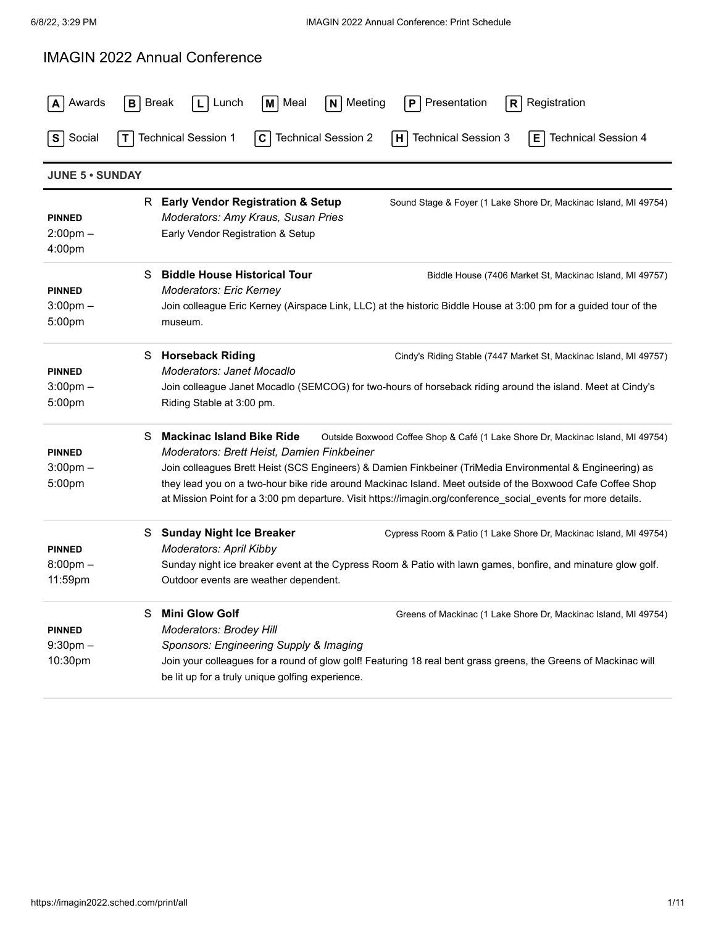## IMAGIN 2022 Annual Conference

| Awards                                        | <b>Break</b><br>N Meeting<br>Registration<br>Lunch<br>l M   Meal<br>Presentation<br>B I<br>P                                                                                                                                                                                                                                                                                                                                                                                                                        |
|-----------------------------------------------|---------------------------------------------------------------------------------------------------------------------------------------------------------------------------------------------------------------------------------------------------------------------------------------------------------------------------------------------------------------------------------------------------------------------------------------------------------------------------------------------------------------------|
| Social<br>s                                   | <b>Technical Session 2</b><br><b>Technical Session 3</b><br><b>Technical Session 1</b><br><b>Technical Session 4</b><br>E.<br>C<br>H                                                                                                                                                                                                                                                                                                                                                                                |
| <b>JUNE 5 · SUNDAY</b>                        |                                                                                                                                                                                                                                                                                                                                                                                                                                                                                                                     |
| <b>PINNED</b><br>$2:00$ pm $-$<br>4:00pm      | R Early Vendor Registration & Setup<br>Sound Stage & Foyer (1 Lake Shore Dr, Mackinac Island, MI 49754)<br>Moderators: Amy Kraus, Susan Pries<br>Early Vendor Registration & Setup                                                                                                                                                                                                                                                                                                                                  |
| <b>PINNED</b><br>$3:00 \text{pm} -$<br>5:00pm | <b>Biddle House Historical Tour</b><br>S<br>Biddle House (7406 Market St, Mackinac Island, MI 49757)<br>Moderators: Eric Kerney<br>Join colleague Eric Kerney (Airspace Link, LLC) at the historic Biddle House at 3:00 pm for a guided tour of the<br>museum.                                                                                                                                                                                                                                                      |
| <b>PINNED</b><br>$3:00 \text{pm} -$<br>5:00pm | S Horseback Riding<br>Cindy's Riding Stable (7447 Market St, Mackinac Island, MI 49757)<br>Moderators: Janet Mocadlo<br>Join colleague Janet Mocadlo (SEMCOG) for two-hours of horseback riding around the island. Meet at Cindy's<br>Riding Stable at 3:00 pm.                                                                                                                                                                                                                                                     |
| <b>PINNED</b><br>$3:00$ pm $-$<br>5:00pm      | <b>Mackinac Island Bike Ride</b><br>S.<br>Outside Boxwood Coffee Shop & Café (1 Lake Shore Dr, Mackinac Island, MI 49754)<br>Moderators: Brett Heist, Damien Finkbeiner<br>Join colleagues Brett Heist (SCS Engineers) & Damien Finkbeiner (TriMedia Environmental & Engineering) as<br>they lead you on a two-hour bike ride around Mackinac Island. Meet outside of the Boxwood Cafe Coffee Shop<br>at Mission Point for a 3:00 pm departure. Visit https://imagin.org/conference_social_events for more details. |
| <b>PINNED</b><br>$8:00$ pm $-$<br>11:59pm     | S Sunday Night Ice Breaker<br>Cypress Room & Patio (1 Lake Shore Dr, Mackinac Island, MI 49754)<br>Moderators: April Kibby<br>Sunday night ice breaker event at the Cypress Room & Patio with lawn games, bonfire, and minature glow golf.<br>Outdoor events are weather dependent.                                                                                                                                                                                                                                 |
| <b>PINNED</b><br>$9:30$ pm $-$<br>10:30pm     | <b>Mini Glow Golf</b><br>S.<br>Greens of Mackinac (1 Lake Shore Dr, Mackinac Island, MI 49754)<br><b>Moderators: Brodey Hill</b><br>Sponsors: Engineering Supply & Imaging<br>Join your colleagues for a round of glow golf! Featuring 18 real bent grass greens, the Greens of Mackinac will<br>be lit up for a truly unique golfing experience.                                                                                                                                                                   |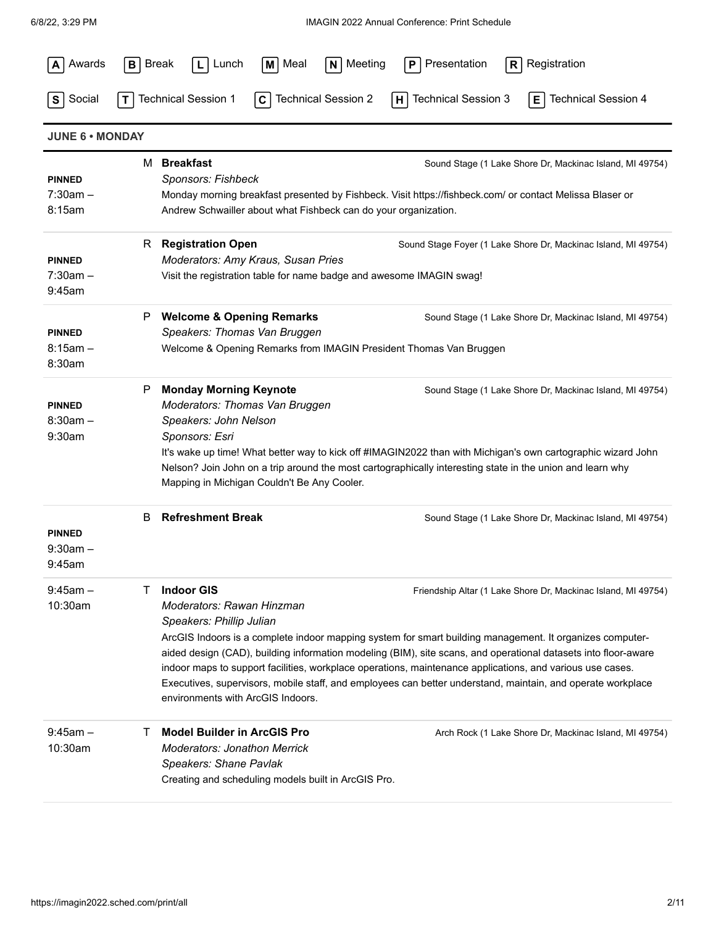| Awards                                | <b>Break</b><br>M Meal<br>Lunch<br>BI                                                                                                                           | $N$ Meeting<br>Presentation<br>Registration<br>P<br>R                                                                                                                                                                                                                                                                                                                                                                                                                                                                   |
|---------------------------------------|-----------------------------------------------------------------------------------------------------------------------------------------------------------------|-------------------------------------------------------------------------------------------------------------------------------------------------------------------------------------------------------------------------------------------------------------------------------------------------------------------------------------------------------------------------------------------------------------------------------------------------------------------------------------------------------------------------|
| Social<br>S                           | <b>Technical Session 1</b><br><b>Technical Session 2</b><br>$\mathbf{C}$                                                                                        | <b>Technical Session 3</b><br><b>Technical Session 4</b><br>E<br>H                                                                                                                                                                                                                                                                                                                                                                                                                                                      |
| <b>JUNE 6 . MONDAY</b>                |                                                                                                                                                                 |                                                                                                                                                                                                                                                                                                                                                                                                                                                                                                                         |
| <b>PINNED</b><br>$7:30am -$<br>8:15am | M Breakfast<br>Sponsors: Fishbeck<br>Andrew Schwailler about what Fishbeck can do your organization.                                                            | Sound Stage (1 Lake Shore Dr, Mackinac Island, MI 49754)<br>Monday morning breakfast presented by Fishbeck. Visit https://fishbeck.com/ or contact Melissa Blaser or                                                                                                                                                                                                                                                                                                                                                    |
| <b>PINNED</b><br>$7:30am -$<br>9:45am | R Registration Open<br>Moderators: Amy Kraus, Susan Pries<br>Visit the registration table for name badge and awesome IMAGIN swag!                               | Sound Stage Foyer (1 Lake Shore Dr, Mackinac Island, MI 49754)                                                                                                                                                                                                                                                                                                                                                                                                                                                          |
| <b>PINNED</b><br>$8:15am -$<br>8:30am | <b>Welcome &amp; Opening Remarks</b><br>P<br>Speakers: Thomas Van Bruggen<br>Welcome & Opening Remarks from IMAGIN President Thomas Van Bruggen                 | Sound Stage (1 Lake Shore Dr, Mackinac Island, MI 49754)                                                                                                                                                                                                                                                                                                                                                                                                                                                                |
| <b>PINNED</b><br>$8:30am -$<br>9:30am | <b>Monday Morning Keynote</b><br>P<br>Moderators: Thomas Van Bruggen<br>Speakers: John Nelson<br>Sponsors: Esri<br>Mapping in Michigan Couldn't Be Any Cooler.  | Sound Stage (1 Lake Shore Dr, Mackinac Island, MI 49754)<br>It's wake up time! What better way to kick off #IMAGIN2022 than with Michigan's own cartographic wizard John<br>Nelson? Join John on a trip around the most cartographically interesting state in the union and learn why                                                                                                                                                                                                                                   |
| <b>PINNED</b><br>$9:30am -$<br>9:45am | <b>Refreshment Break</b><br>В                                                                                                                                   | Sound Stage (1 Lake Shore Dr, Mackinac Island, MI 49754)                                                                                                                                                                                                                                                                                                                                                                                                                                                                |
| $9:45am -$<br>10:30am                 | <b>Indoor GIS</b><br>Τ<br>Moderators: Rawan Hinzman<br>Speakers: Phillip Julian<br>environments with ArcGIS Indoors.                                            | Friendship Altar (1 Lake Shore Dr, Mackinac Island, MI 49754)<br>ArcGIS Indoors is a complete indoor mapping system for smart building management. It organizes computer-<br>aided design (CAD), building information modeling (BIM), site scans, and operational datasets into floor-aware<br>indoor maps to support facilities, workplace operations, maintenance applications, and various use cases.<br>Executives, supervisors, mobile staff, and employees can better understand, maintain, and operate workplace |
| $9:45$ am $-$<br>10:30am              | <b>Model Builder in ArcGIS Pro</b><br>Τ<br><b>Moderators: Jonathon Merrick</b><br>Speakers: Shane Pavlak<br>Creating and scheduling models built in ArcGIS Pro. | Arch Rock (1 Lake Shore Dr, Mackinac Island, MI 49754)                                                                                                                                                                                                                                                                                                                                                                                                                                                                  |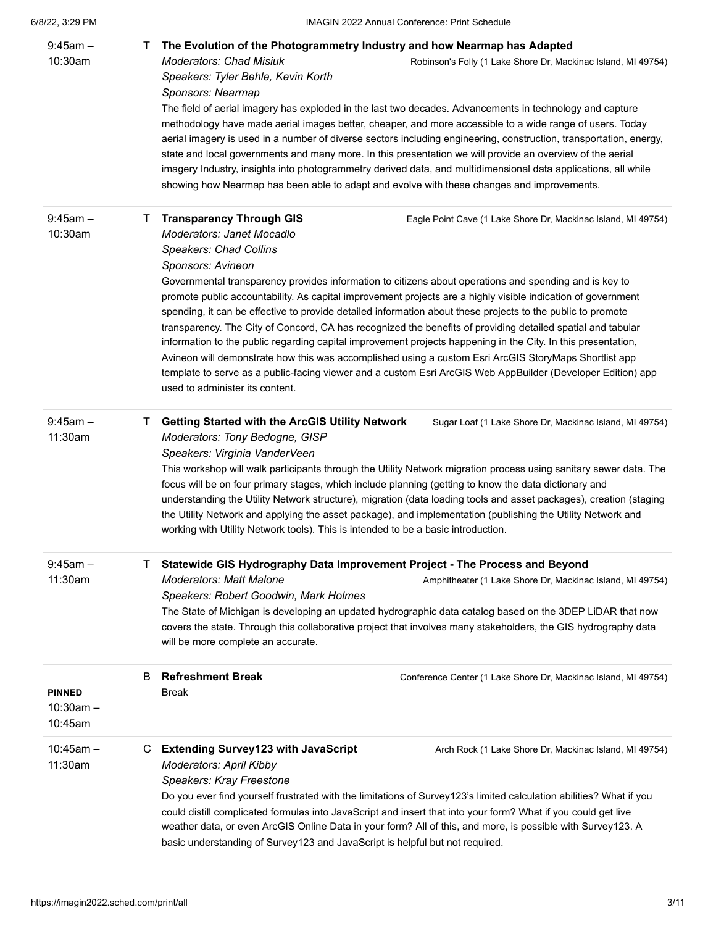| $9:45$ am $-$<br>10:30am                | $\mathbf{I}$ | The Evolution of the Photogrammetry Industry and how Nearmap has Adapted<br><b>Moderators: Chad Misiuk</b><br>Robinson's Folly (1 Lake Shore Dr, Mackinac Island, MI 49754)<br>Speakers: Tyler Behle, Kevin Korth<br>Sponsors: Nearmap<br>The field of aerial imagery has exploded in the last two decades. Advancements in technology and capture<br>methodology have made aerial images better, cheaper, and more accessible to a wide range of users. Today<br>aerial imagery is used in a number of diverse sectors including engineering, construction, transportation, energy,<br>state and local governments and many more. In this presentation we will provide an overview of the aerial<br>imagery Industry, insights into photogrammetry derived data, and multidimensional data applications, all while<br>showing how Nearmap has been able to adapt and evolve with these changes and improvements.                                                                                                       |
|-----------------------------------------|--------------|-------------------------------------------------------------------------------------------------------------------------------------------------------------------------------------------------------------------------------------------------------------------------------------------------------------------------------------------------------------------------------------------------------------------------------------------------------------------------------------------------------------------------------------------------------------------------------------------------------------------------------------------------------------------------------------------------------------------------------------------------------------------------------------------------------------------------------------------------------------------------------------------------------------------------------------------------------------------------------------------------------------------------|
| $9:45am -$<br>10:30am                   | $\mathbf{L}$ | <b>Transparency Through GIS</b><br>Eagle Point Cave (1 Lake Shore Dr, Mackinac Island, MI 49754)<br>Moderators: Janet Mocadlo<br><b>Speakers: Chad Collins</b><br>Sponsors: Avineon<br>Governmental transparency provides information to citizens about operations and spending and is key to<br>promote public accountability. As capital improvement projects are a highly visible indication of government<br>spending, it can be effective to provide detailed information about these projects to the public to promote<br>transparency. The City of Concord, CA has recognized the benefits of providing detailed spatial and tabular<br>information to the public regarding capital improvement projects happening in the City. In this presentation,<br>Avineon will demonstrate how this was accomplished using a custom Esri ArcGIS StoryMaps Shortlist app<br>template to serve as a public-facing viewer and a custom Esri ArcGIS Web AppBuilder (Developer Edition) app<br>used to administer its content. |
| $9:45am -$<br>11:30am                   | $\mathbf{L}$ | <b>Getting Started with the ArcGIS Utility Network</b><br>Sugar Loaf (1 Lake Shore Dr, Mackinac Island, MI 49754)<br>Moderators: Tony Bedogne, GISP<br>Speakers: Virginia VanderVeen<br>This workshop will walk participants through the Utility Network migration process using sanitary sewer data. The<br>focus will be on four primary stages, which include planning (getting to know the data dictionary and<br>understanding the Utility Network structure), migration (data loading tools and asset packages), creation (staging<br>the Utility Network and applying the asset package), and implementation (publishing the Utility Network and<br>working with Utility Network tools). This is intended to be a basic introduction.                                                                                                                                                                                                                                                                            |
| $9:45am -$<br>11:30am                   | B            | Statewide GIS Hydrography Data Improvement Project - The Process and Beyond<br><b>Moderators: Matt Malone</b><br>Amphitheater (1 Lake Shore Dr, Mackinac Island, MI 49754)<br>Speakers: Robert Goodwin, Mark Holmes<br>The State of Michigan is developing an updated hydrographic data catalog based on the 3DEP LiDAR that now<br>covers the state. Through this collaborative project that involves many stakeholders, the GIS hydrography data<br>will be more complete an accurate.<br><b>Refreshment Break</b><br>Conference Center (1 Lake Shore Dr, Mackinac Island, MI 49754)                                                                                                                                                                                                                                                                                                                                                                                                                                  |
| <b>PINNED</b><br>$10:30am -$<br>10:45am |              | Break                                                                                                                                                                                                                                                                                                                                                                                                                                                                                                                                                                                                                                                                                                                                                                                                                                                                                                                                                                                                                   |
| $10:45am -$<br>11:30am                  | С            | <b>Extending Survey123 with JavaScript</b><br>Arch Rock (1 Lake Shore Dr, Mackinac Island, MI 49754)<br><b>Moderators: April Kibby</b><br>Speakers: Kray Freestone<br>Do you ever find yourself frustrated with the limitations of Survey123's limited calculation abilities? What if you<br>could distill complicated formulas into JavaScript and insert that into your form? What if you could get live<br>weather data, or even ArcGIS Online Data in your form? All of this, and more, is possible with Survey123. A<br>basic understanding of Survey123 and JavaScript is helpful but not required.                                                                                                                                                                                                                                                                                                                                                                                                               |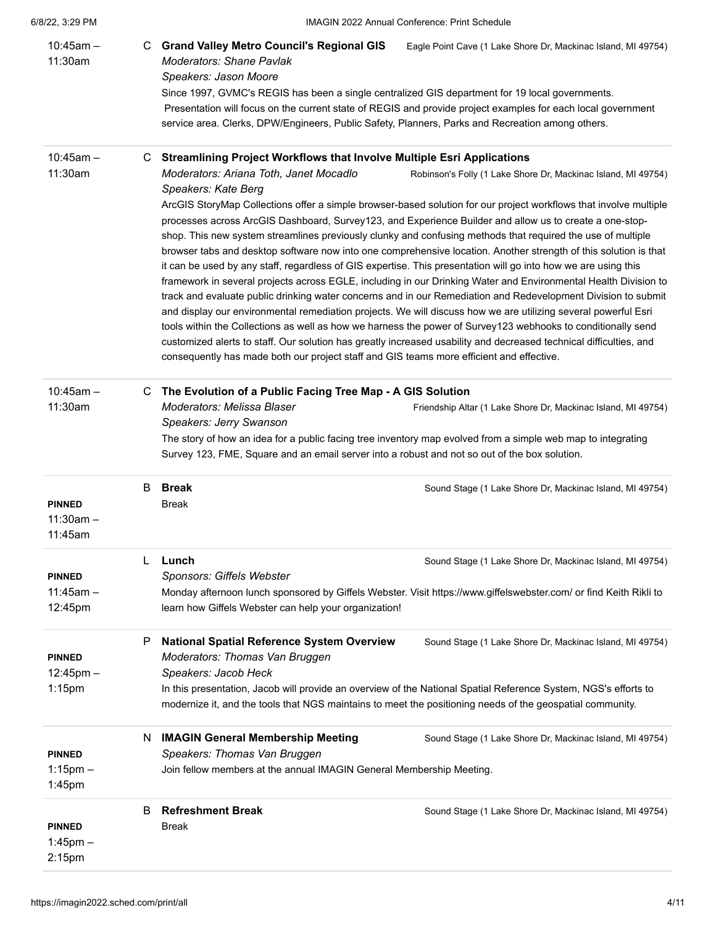| 6/8/22, 3:29 PM |  |
|-----------------|--|
|                 |  |

| $10:45am -$<br>11:30am                       |    | C Grand Valley Metro Council's Regional GIS<br><b>Moderators: Shane Pavlak</b><br>Speakers: Jason Moore<br>Since 1997, GVMC's REGIS has been a single centralized GIS department for 19 local governments.<br>service area. Clerks, DPW/Engineers, Public Safety, Planners, Parks and Recreation among others. | Eagle Point Cave (1 Lake Shore Dr, Mackinac Island, MI 49754)<br>Presentation will focus on the current state of REGIS and provide project examples for each local government                                                                                                                                                                                                                                                                                                                                                                                                                                                                                                                                                                                                                                                                                                                                                                                                                                                                                                                                                |
|----------------------------------------------|----|----------------------------------------------------------------------------------------------------------------------------------------------------------------------------------------------------------------------------------------------------------------------------------------------------------------|------------------------------------------------------------------------------------------------------------------------------------------------------------------------------------------------------------------------------------------------------------------------------------------------------------------------------------------------------------------------------------------------------------------------------------------------------------------------------------------------------------------------------------------------------------------------------------------------------------------------------------------------------------------------------------------------------------------------------------------------------------------------------------------------------------------------------------------------------------------------------------------------------------------------------------------------------------------------------------------------------------------------------------------------------------------------------------------------------------------------------|
| $10:45am -$                                  | C. | <b>Streamlining Project Workflows that Involve Multiple Esri Applications</b>                                                                                                                                                                                                                                  |                                                                                                                                                                                                                                                                                                                                                                                                                                                                                                                                                                                                                                                                                                                                                                                                                                                                                                                                                                                                                                                                                                                              |
| 11:30am                                      |    | Moderators: Ariana Toth, Janet Mocadlo<br>Speakers: Kate Berg<br>it can be used by any staff, regardless of GIS expertise. This presentation will go into how we are using this<br>consequently has made both our project staff and GIS teams more efficient and effective.                                    | Robinson's Folly (1 Lake Shore Dr, Mackinac Island, MI 49754)<br>ArcGIS StoryMap Collections offer a simple browser-based solution for our project workflows that involve multiple<br>processes across ArcGIS Dashboard, Survey123, and Experience Builder and allow us to create a one-stop-<br>shop. This new system streamlines previously clunky and confusing methods that required the use of multiple<br>browser tabs and desktop software now into one comprehensive location. Another strength of this solution is that<br>framework in several projects across EGLE, including in our Drinking Water and Environmental Health Division to<br>track and evaluate public drinking water concerns and in our Remediation and Redevelopment Division to submit<br>and display our environmental remediation projects. We will discuss how we are utilizing several powerful Esri<br>tools within the Collections as well as how we harness the power of Survey123 webhooks to conditionally send<br>customized alerts to staff. Our solution has greatly increased usability and decreased technical difficulties, and |
| $10:45am -$<br>11:30am                       | С  | The Evolution of a Public Facing Tree Map - A GIS Solution<br><b>Moderators: Melissa Blaser</b><br>Speakers: Jerry Swanson<br>Survey 123, FME, Square and an email server into a robust and not so out of the box solution.                                                                                    | Friendship Altar (1 Lake Shore Dr, Mackinac Island, MI 49754)<br>The story of how an idea for a public facing tree inventory map evolved from a simple web map to integrating                                                                                                                                                                                                                                                                                                                                                                                                                                                                                                                                                                                                                                                                                                                                                                                                                                                                                                                                                |
| <b>PINNED</b><br>$11:30am -$<br>11:45am      | B  | <b>Break</b><br><b>Break</b>                                                                                                                                                                                                                                                                                   | Sound Stage (1 Lake Shore Dr, Mackinac Island, MI 49754)                                                                                                                                                                                                                                                                                                                                                                                                                                                                                                                                                                                                                                                                                                                                                                                                                                                                                                                                                                                                                                                                     |
| <b>PINNED</b><br>$11:45am -$<br>12:45pm      |    | Lunch<br>Sponsors: Giffels Webster<br>learn how Giffels Webster can help your organization!                                                                                                                                                                                                                    | Sound Stage (1 Lake Shore Dr, Mackinac Island, MI 49754)<br>Monday afternoon lunch sponsored by Giffels Webster. Visit https://www.giffelswebster.com/ or find Keith Rikli to                                                                                                                                                                                                                                                                                                                                                                                                                                                                                                                                                                                                                                                                                                                                                                                                                                                                                                                                                |
| <b>PINNED</b><br>$12:45$ pm $-$<br>$1:15$ pm | P  | <b>National Spatial Reference System Overview</b><br>Moderators: Thomas Van Bruggen<br>Speakers: Jacob Heck<br>modernize it, and the tools that NGS maintains to meet the positioning needs of the geospatial community.                                                                                       | Sound Stage (1 Lake Shore Dr, Mackinac Island, MI 49754)<br>In this presentation, Jacob will provide an overview of the National Spatial Reference System, NGS's efforts to                                                                                                                                                                                                                                                                                                                                                                                                                                                                                                                                                                                                                                                                                                                                                                                                                                                                                                                                                  |
| <b>PINNED</b><br>$1:15$ pm $-$<br>1:45pm     | N  | <b>IMAGIN General Membership Meeting</b><br>Speakers: Thomas Van Bruggen<br>Join fellow members at the annual IMAGIN General Membership Meeting.                                                                                                                                                               | Sound Stage (1 Lake Shore Dr, Mackinac Island, MI 49754)                                                                                                                                                                                                                                                                                                                                                                                                                                                                                                                                                                                                                                                                                                                                                                                                                                                                                                                                                                                                                                                                     |
| <b>PINNED</b><br>$1:45$ pm $-$<br>2:15pm     | B  | <b>Refreshment Break</b><br><b>Break</b>                                                                                                                                                                                                                                                                       | Sound Stage (1 Lake Shore Dr, Mackinac Island, MI 49754)                                                                                                                                                                                                                                                                                                                                                                                                                                                                                                                                                                                                                                                                                                                                                                                                                                                                                                                                                                                                                                                                     |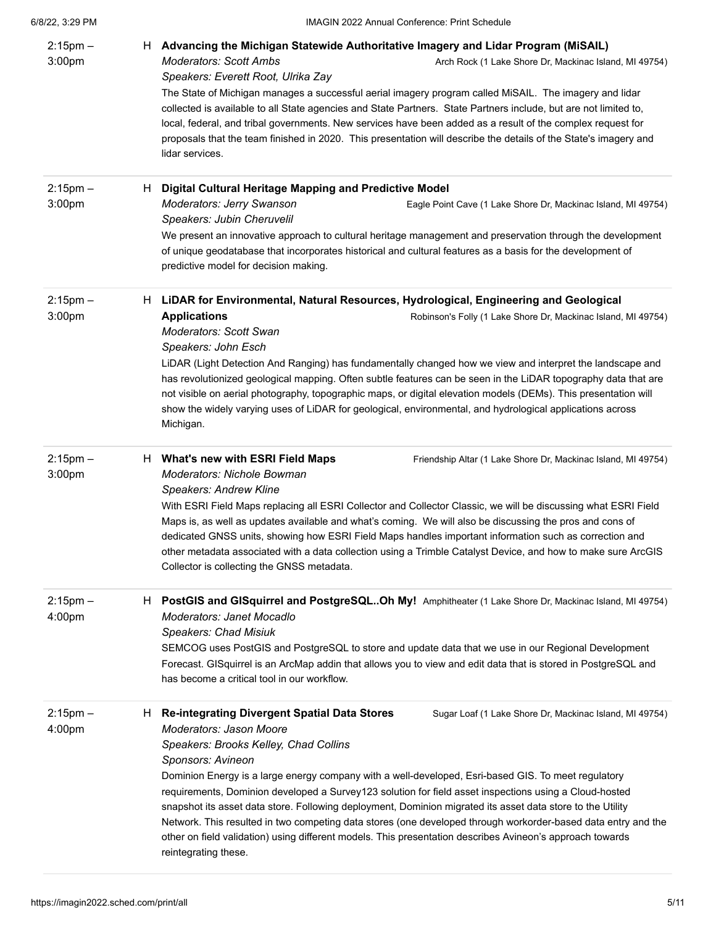| 6/8/22 3:29 PM |  |
|----------------|--|
|                |  |

| $2:15$ pm $-$<br>3:00pm |    | H Advancing the Michigan Statewide Authoritative Imagery and Lidar Program (MiSAIL)<br><b>Moderators: Scott Ambs</b><br>Arch Rock (1 Lake Shore Dr, Mackinac Island, MI 49754)<br>Speakers: Everett Root, Ulrika Zay<br>The State of Michigan manages a successful aerial imagery program called MiSAIL. The imagery and lidar<br>collected is available to all State agencies and State Partners. State Partners include, but are not limited to,<br>local, federal, and tribal governments. New services have been added as a result of the complex request for<br>proposals that the team finished in 2020. This presentation will describe the details of the State's imagery and<br>lidar services.                                                                                     |
|-------------------------|----|----------------------------------------------------------------------------------------------------------------------------------------------------------------------------------------------------------------------------------------------------------------------------------------------------------------------------------------------------------------------------------------------------------------------------------------------------------------------------------------------------------------------------------------------------------------------------------------------------------------------------------------------------------------------------------------------------------------------------------------------------------------------------------------------|
| $2:15$ pm $-$<br>3:00pm | H. | Digital Cultural Heritage Mapping and Predictive Model<br>Moderators: Jerry Swanson<br>Eagle Point Cave (1 Lake Shore Dr, Mackinac Island, MI 49754)<br>Speakers: Jubin Cheruvelil<br>We present an innovative approach to cultural heritage management and preservation through the development<br>of unique geodatabase that incorporates historical and cultural features as a basis for the development of<br>predictive model for decision making.                                                                                                                                                                                                                                                                                                                                      |
| $2:15$ pm $-$<br>3:00pm |    | H LiDAR for Environmental, Natural Resources, Hydrological, Engineering and Geological<br><b>Applications</b><br>Robinson's Folly (1 Lake Shore Dr, Mackinac Island, MI 49754)<br>Moderators: Scott Swan<br>Speakers: John Esch<br>LiDAR (Light Detection And Ranging) has fundamentally changed how we view and interpret the landscape and<br>has revolutionized geological mapping. Often subtle features can be seen in the LiDAR topography data that are<br>not visible on aerial photography, topographic maps, or digital elevation models (DEMs). This presentation will<br>show the widely varying uses of LiDAR for geological, environmental, and hydrological applications across<br>Michigan.                                                                                  |
| $2:15$ pm $-$<br>3:00pm | H. | What's new with ESRI Field Maps<br>Friendship Altar (1 Lake Shore Dr, Mackinac Island, MI 49754)<br>Moderators: Nichole Bowman<br>Speakers: Andrew Kline<br>With ESRI Field Maps replacing all ESRI Collector and Collector Classic, we will be discussing what ESRI Field<br>Maps is, as well as updates available and what's coming. We will also be discussing the pros and cons of<br>dedicated GNSS units, showing how ESRI Field Maps handles important information such as correction and<br>other metadata associated with a data collection using a Trimble Catalyst Device, and how to make sure ArcGIS<br>Collector is collecting the GNSS metadata.                                                                                                                              |
| $2:15$ pm $-$<br>4:00pm | H. | PostGIS and GISquirrel and PostgreSQLOh My! Amphitheater (1 Lake Shore Dr, Mackinac Island, MI 49754)<br>Moderators: Janet Mocadlo<br>Speakers: Chad Misiuk<br>SEMCOG uses PostGIS and PostgreSQL to store and update data that we use in our Regional Development<br>Forecast. GISquirrel is an ArcMap addin that allows you to view and edit data that is stored in PostgreSQL and<br>has become a critical tool in our workflow.                                                                                                                                                                                                                                                                                                                                                          |
| $2:15$ pm $-$<br>4:00pm | H. | <b>Re-integrating Divergent Spatial Data Stores</b><br>Sugar Loaf (1 Lake Shore Dr, Mackinac Island, MI 49754)<br>Moderators: Jason Moore<br>Speakers: Brooks Kelley, Chad Collins<br>Sponsors: Avineon<br>Dominion Energy is a large energy company with a well-developed, Esri-based GIS. To meet regulatory<br>requirements, Dominion developed a Survey123 solution for field asset inspections using a Cloud-hosted<br>snapshot its asset data store. Following deployment, Dominion migrated its asset data store to the Utility<br>Network. This resulted in two competing data stores (one developed through workorder-based data entry and the<br>other on field validation) using different models. This presentation describes Avineon's approach towards<br>reintegrating these. |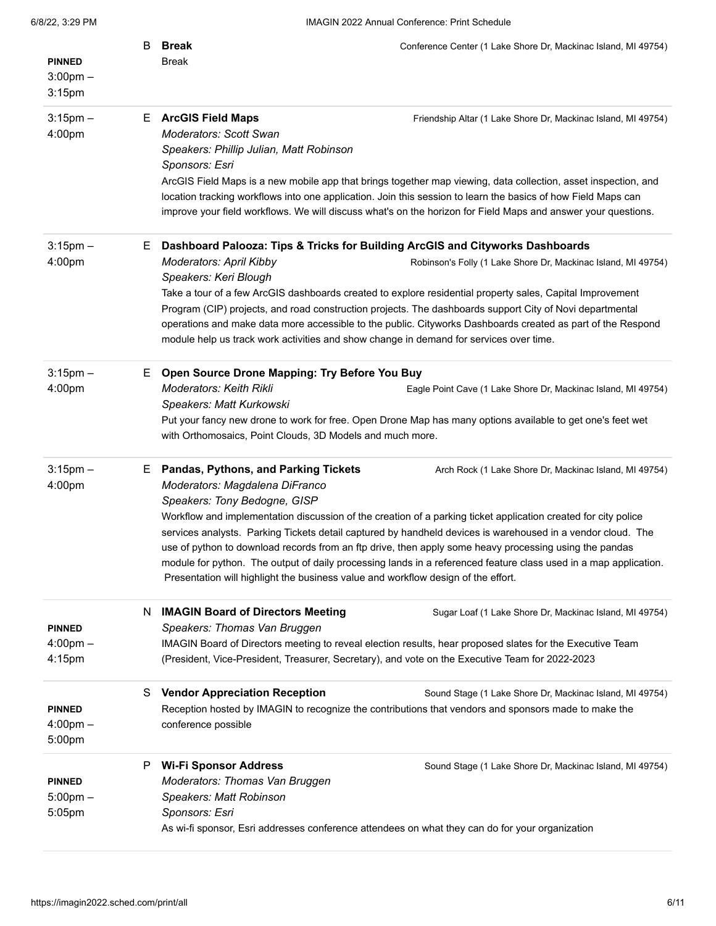| <b>PINNED</b>                                 | B  | Break<br><b>Break</b>                                                                                                                                                                                          | Conference Center (1 Lake Shore Dr, Mackinac Island, MI 49754)                                                                                                                                                                                                                                                                                   |
|-----------------------------------------------|----|----------------------------------------------------------------------------------------------------------------------------------------------------------------------------------------------------------------|--------------------------------------------------------------------------------------------------------------------------------------------------------------------------------------------------------------------------------------------------------------------------------------------------------------------------------------------------|
| $3:00$ pm $-$<br>$3:15$ pm                    |    |                                                                                                                                                                                                                |                                                                                                                                                                                                                                                                                                                                                  |
| $3:15$ pm $-$<br>4:00pm                       |    | E ArcGIS Field Maps<br><b>Moderators: Scott Swan</b><br>Speakers: Phillip Julian, Matt Robinson<br>Sponsors: Esri                                                                                              | Friendship Altar (1 Lake Shore Dr, Mackinac Island, MI 49754)                                                                                                                                                                                                                                                                                    |
|                                               |    |                                                                                                                                                                                                                | ArcGIS Field Maps is a new mobile app that brings together map viewing, data collection, asset inspection, and<br>location tracking workflows into one application. Join this session to learn the basics of how Field Maps can<br>improve your field workflows. We will discuss what's on the horizon for Field Maps and answer your questions. |
| $3:15$ pm $-$                                 | E. | Dashboard Palooza: Tips & Tricks for Building ArcGIS and Cityworks Dashboards                                                                                                                                  |                                                                                                                                                                                                                                                                                                                                                  |
| 4:00pm                                        |    | <b>Moderators: April Kibby</b><br>Speakers: Keri Blough                                                                                                                                                        | Robinson's Folly (1 Lake Shore Dr, Mackinac Island, MI 49754)                                                                                                                                                                                                                                                                                    |
|                                               |    | module help us track work activities and show change in demand for services over time.                                                                                                                         | Take a tour of a few ArcGIS dashboards created to explore residential property sales, Capital Improvement<br>Program (CIP) projects, and road construction projects. The dashboards support City of Novi departmental<br>operations and make data more accessible to the public. Cityworks Dashboards created as part of the Respond             |
|                                               |    |                                                                                                                                                                                                                |                                                                                                                                                                                                                                                                                                                                                  |
| $3:15$ pm $-$<br>4:00pm                       | Е. | Open Source Drone Mapping: Try Before You Buy<br>Moderators: Keith Rikli<br>Speakers: Matt Kurkowski                                                                                                           | Eagle Point Cave (1 Lake Shore Dr, Mackinac Island, MI 49754)                                                                                                                                                                                                                                                                                    |
|                                               |    | with Orthomosaics, Point Clouds, 3D Models and much more.                                                                                                                                                      | Put your fancy new drone to work for free. Open Drone Map has many options available to get one's feet wet                                                                                                                                                                                                                                       |
| $3:15$ pm $-$<br>4:00pm                       |    | E Pandas, Pythons, and Parking Tickets<br>Moderators: Magdalena DiFranco                                                                                                                                       | Arch Rock (1 Lake Shore Dr, Mackinac Island, MI 49754)                                                                                                                                                                                                                                                                                           |
|                                               |    | Speakers: Tony Bedogne, GISP                                                                                                                                                                                   | Workflow and implementation discussion of the creation of a parking ticket application created for city police<br>services analysts. Parking Tickets detail captured by handheld devices is warehoused in a vendor cloud. The                                                                                                                    |
|                                               |    | Presentation will highlight the business value and workflow design of the effort.                                                                                                                              | use of python to download records from an ftp drive, then apply some heavy processing using the pandas<br>module for python. The output of daily processing lands in a referenced feature class used in a map application.                                                                                                                       |
| <b>PINNED</b>                                 | N  | <b>IMAGIN Board of Directors Meeting</b><br>Speakers: Thomas Van Bruggen                                                                                                                                       | Sugar Loaf (1 Lake Shore Dr, Mackinac Island, MI 49754)                                                                                                                                                                                                                                                                                          |
| $4:00$ pm $-$<br>4:15pm                       |    | (President, Vice-President, Treasurer, Secretary), and vote on the Executive Team for 2022-2023                                                                                                                | IMAGIN Board of Directors meeting to reveal election results, hear proposed slates for the Executive Team                                                                                                                                                                                                                                        |
| <b>PINNED</b><br>$4:00 \text{pm} -$<br>5:00pm | S  | <b>Vendor Appreciation Reception</b><br>conference possible                                                                                                                                                    | Sound Stage (1 Lake Shore Dr, Mackinac Island, MI 49754)<br>Reception hosted by IMAGIN to recognize the contributions that vendors and sponsors made to make the                                                                                                                                                                                 |
| <b>PINNED</b><br>$5:00$ pm $-$<br>5:05pm      | P  | <b>Wi-Fi Sponsor Address</b><br>Moderators: Thomas Van Bruggen<br>Speakers: Matt Robinson<br>Sponsors: Esri<br>As wi-fi sponsor, Esri addresses conference attendees on what they can do for your organization | Sound Stage (1 Lake Shore Dr, Mackinac Island, MI 49754)                                                                                                                                                                                                                                                                                         |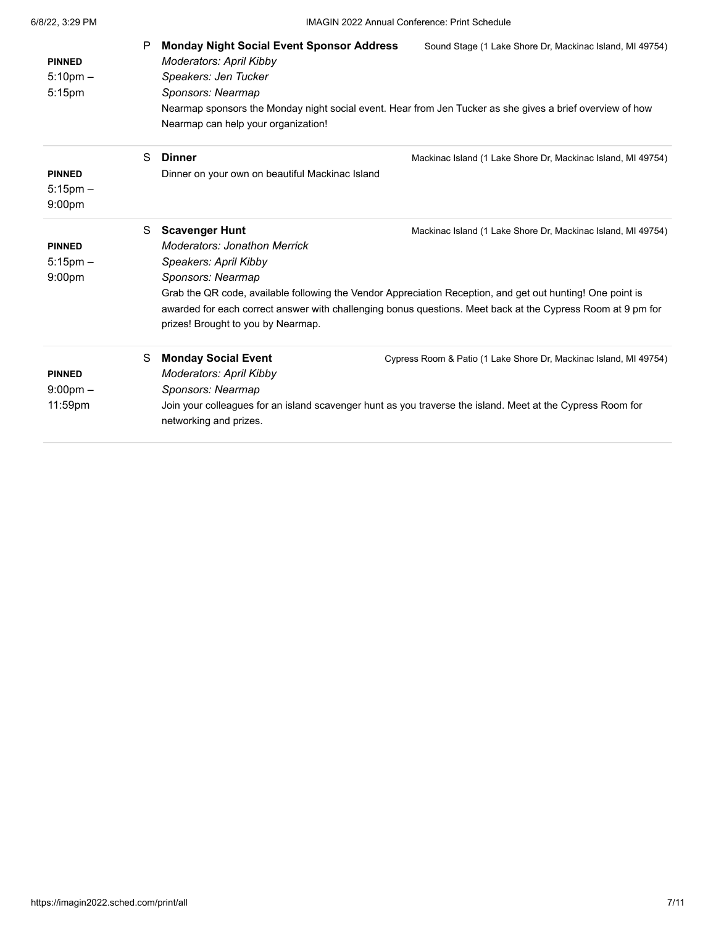| <b>PINNED</b><br>$5:10$ pm $-$<br>5:15pm             | P | <b>Monday Night Social Event Sponsor Address</b><br>Moderators: April Kibby<br>Speakers: Jen Tucker<br>Sponsors: Nearmap<br>Nearmap can help your organization! | Sound Stage (1 Lake Shore Dr, Mackinac Island, MI 49754)<br>Nearmap sponsors the Monday night social event. Hear from Jen Tucker as she gives a brief overview of how                                                                                                                     |
|------------------------------------------------------|---|-----------------------------------------------------------------------------------------------------------------------------------------------------------------|-------------------------------------------------------------------------------------------------------------------------------------------------------------------------------------------------------------------------------------------------------------------------------------------|
| <b>PINNED</b><br>$5:15$ pm $-$<br>9:00 <sub>pm</sub> | S | <b>Dinner</b><br>Dinner on your own on beautiful Mackinac Island                                                                                                | Mackinac Island (1 Lake Shore Dr, Mackinac Island, MI 49754)                                                                                                                                                                                                                              |
| <b>PINNED</b><br>$5:15$ pm $-$<br>9:00 <sub>pm</sub> | S | <b>Scavenger Hunt</b><br><b>Moderators: Jonathon Merrick</b><br>Speakers: April Kibby<br>Sponsors: Nearmap<br>prizes! Brought to you by Nearmap.                | Mackinac Island (1 Lake Shore Dr, Mackinac Island, MI 49754)<br>Grab the QR code, available following the Vendor Appreciation Reception, and get out hunting! One point is<br>awarded for each correct answer with challenging bonus questions. Meet back at the Cypress Room at 9 pm for |
| <b>PINNED</b><br>$9:00$ pm $-$<br>$11:59$ pm         | S | <b>Monday Social Event</b><br>Moderators: April Kibby<br>Sponsors: Nearmap<br>networking and prizes.                                                            | Cypress Room & Patio (1 Lake Shore Dr, Mackinac Island, MI 49754)<br>Join your colleagues for an island scavenger hunt as you traverse the island. Meet at the Cypress Room for                                                                                                           |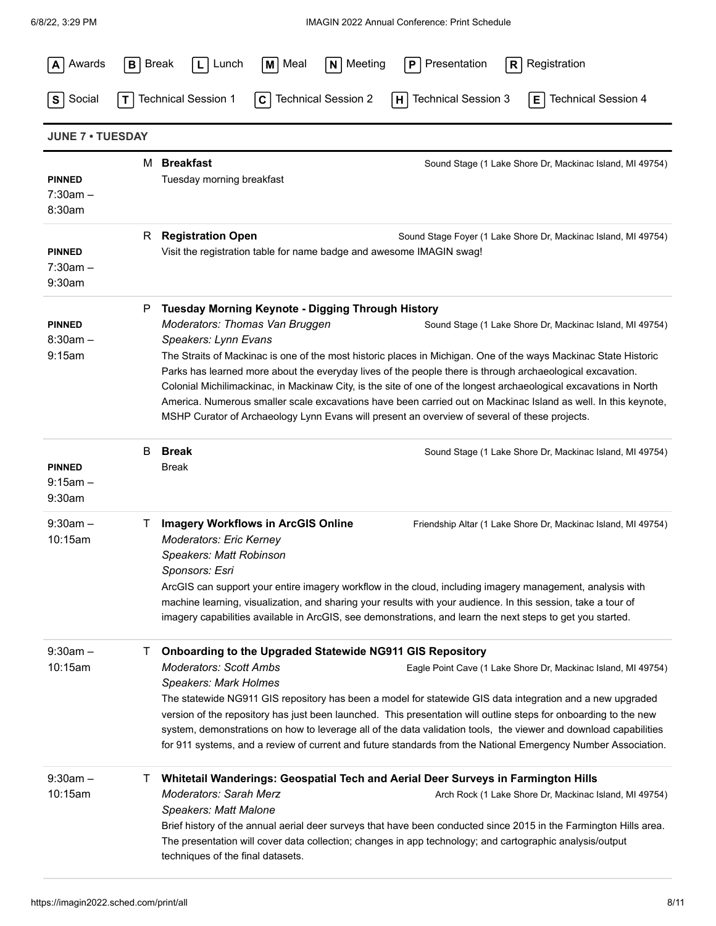| Awards                                | $B$ Break<br>M Meal<br>N Meeting<br>Presentation<br>Registration<br>Lunch<br>P<br>R<br>L I                                                                                                                                                                                                                                                                                                                                                                                                                                                                                                                                                                                                                                                                  |
|---------------------------------------|-------------------------------------------------------------------------------------------------------------------------------------------------------------------------------------------------------------------------------------------------------------------------------------------------------------------------------------------------------------------------------------------------------------------------------------------------------------------------------------------------------------------------------------------------------------------------------------------------------------------------------------------------------------------------------------------------------------------------------------------------------------|
| Social<br>S                           | <b>Technical Session 1</b><br><b>Technical Session 2</b><br><b>Technical Session 3</b><br><b>Technical Session 4</b><br>E.<br>C<br> H                                                                                                                                                                                                                                                                                                                                                                                                                                                                                                                                                                                                                       |
| <b>JUNE 7 . TUESDAY</b>               |                                                                                                                                                                                                                                                                                                                                                                                                                                                                                                                                                                                                                                                                                                                                                             |
| <b>PINNED</b><br>$7:30am -$<br>8:30am | M Breakfast<br>Sound Stage (1 Lake Shore Dr, Mackinac Island, MI 49754)<br>Tuesday morning breakfast                                                                                                                                                                                                                                                                                                                                                                                                                                                                                                                                                                                                                                                        |
| <b>PINNED</b><br>$7:30am -$<br>9:30am | <b>Registration Open</b><br>R.<br>Sound Stage Foyer (1 Lake Shore Dr, Mackinac Island, MI 49754)<br>Visit the registration table for name badge and awesome IMAGIN swag!                                                                                                                                                                                                                                                                                                                                                                                                                                                                                                                                                                                    |
| <b>PINNED</b><br>$8:30am -$<br>9:15am | <b>Tuesday Morning Keynote - Digging Through History</b><br>P<br>Moderators: Thomas Van Bruggen<br>Sound Stage (1 Lake Shore Dr, Mackinac Island, MI 49754)<br>Speakers: Lynn Evans<br>The Straits of Mackinac is one of the most historic places in Michigan. One of the ways Mackinac State Historic<br>Parks has learned more about the everyday lives of the people there is through archaeological excavation.<br>Colonial Michilimackinac, in Mackinaw City, is the site of one of the longest archaeological excavations in North<br>America. Numerous smaller scale excavations have been carried out on Mackinac Island as well. In this keynote,<br>MSHP Curator of Archaeology Lynn Evans will present an overview of several of these projects. |
| <b>PINNED</b><br>$9:15am -$<br>9:30am | <b>Break</b><br>B<br>Sound Stage (1 Lake Shore Dr, Mackinac Island, MI 49754)<br>Break                                                                                                                                                                                                                                                                                                                                                                                                                                                                                                                                                                                                                                                                      |
| $9:30am -$<br>10:15am                 | <b>Imagery Workflows in ArcGIS Online</b><br>Τ<br>Friendship Altar (1 Lake Shore Dr, Mackinac Island, MI 49754)<br><b>Moderators: Eric Kerney</b><br>Speakers: Matt Robinson<br>Sponsors: Esri<br>ArcGIS can support your entire imagery workflow in the cloud, including imagery management, analysis with<br>machine learning, visualization, and sharing your results with your audience. In this session, take a tour of<br>imagery capabilities available in ArcGIS, see demonstrations, and learn the next steps to get you started.                                                                                                                                                                                                                  |
| $9:30am -$<br>10:15am                 | Onboarding to the Upgraded Statewide NG911 GIS Repository<br>Ι.<br><b>Moderators: Scott Ambs</b><br>Eagle Point Cave (1 Lake Shore Dr, Mackinac Island, MI 49754)<br><b>Speakers: Mark Holmes</b><br>The statewide NG911 GIS repository has been a model for statewide GIS data integration and a new upgraded<br>version of the repository has just been launched. This presentation will outline steps for onboarding to the new<br>system, demonstrations on how to leverage all of the data validation tools, the viewer and download capabilities<br>for 911 systems, and a review of current and future standards from the National Emergency Number Association.                                                                                     |
| $9:30am -$<br>10:15am                 | Whitetail Wanderings: Geospatial Tech and Aerial Deer Surveys in Farmington Hills<br>$\mathbf{I}$<br><b>Moderators: Sarah Merz</b><br>Arch Rock (1 Lake Shore Dr, Mackinac Island, MI 49754)<br>Speakers: Matt Malone<br>Brief history of the annual aerial deer surveys that have been conducted since 2015 in the Farmington Hills area.<br>The presentation will cover data collection; changes in app technology; and cartographic analysis/output<br>techniques of the final datasets.                                                                                                                                                                                                                                                                 |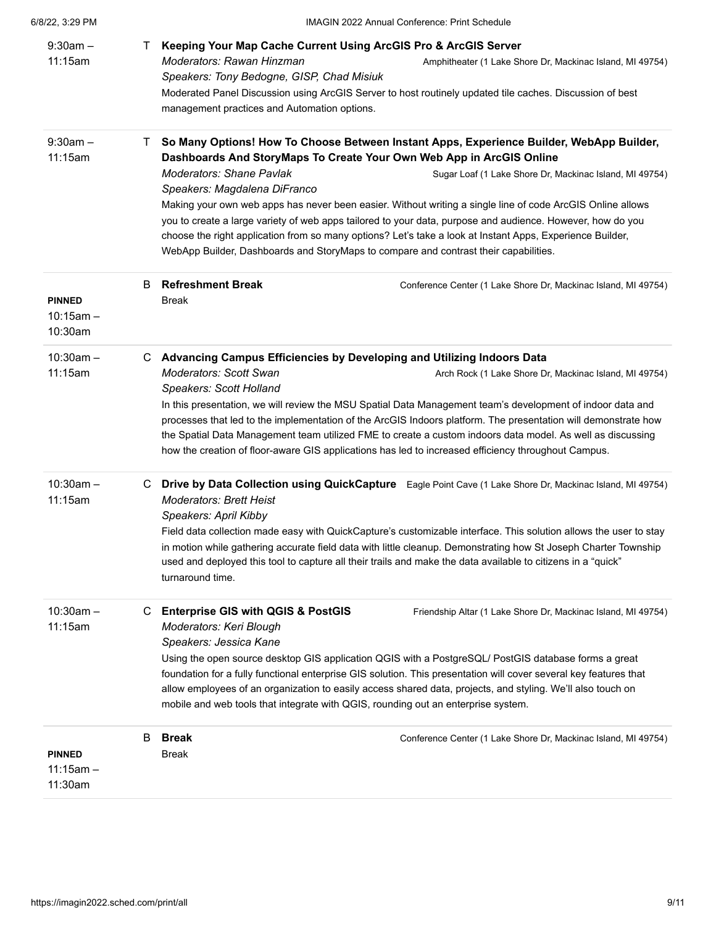| 6/8/22, 3:29 PM                         | <b>IMAGIN 2022 Annual Conference: Print Schedule</b>                                                                                                                                                                                                                                                                                                                                                                                                                                                                                                                                                                                         |  |  |
|-----------------------------------------|----------------------------------------------------------------------------------------------------------------------------------------------------------------------------------------------------------------------------------------------------------------------------------------------------------------------------------------------------------------------------------------------------------------------------------------------------------------------------------------------------------------------------------------------------------------------------------------------------------------------------------------------|--|--|
| $9:30am -$<br>11:15am                   | Keeping Your Map Cache Current Using ArcGIS Pro & ArcGIS Server<br>T.<br>Moderators: Rawan Hinzman<br>Amphitheater (1 Lake Shore Dr, Mackinac Island, MI 49754)<br>Speakers: Tony Bedogne, GISP, Chad Misiuk<br>Moderated Panel Discussion using ArcGIS Server to host routinely updated tile caches. Discussion of best<br>management practices and Automation options.                                                                                                                                                                                                                                                                     |  |  |
| $9:30am -$<br>11:15am                   | So Many Options! How To Choose Between Instant Apps, Experience Builder, WebApp Builder,<br>T.<br>Dashboards And StoryMaps To Create Your Own Web App in ArcGIS Online                                                                                                                                                                                                                                                                                                                                                                                                                                                                       |  |  |
|                                         | <b>Moderators: Shane Pavlak</b><br>Sugar Loaf (1 Lake Shore Dr, Mackinac Island, MI 49754)<br>Speakers: Magdalena DiFranco                                                                                                                                                                                                                                                                                                                                                                                                                                                                                                                   |  |  |
|                                         | Making your own web apps has never been easier. Without writing a single line of code ArcGIS Online allows<br>you to create a large variety of web apps tailored to your data, purpose and audience. However, how do you<br>choose the right application from so many options? Let's take a look at Instant Apps, Experience Builder,<br>WebApp Builder, Dashboards and StoryMaps to compare and contrast their capabilities.                                                                                                                                                                                                                |  |  |
| <b>PINNED</b><br>$10:15am -$<br>10:30am | <b>Refreshment Break</b><br>B<br>Conference Center (1 Lake Shore Dr, Mackinac Island, MI 49754)<br><b>Break</b>                                                                                                                                                                                                                                                                                                                                                                                                                                                                                                                              |  |  |
| $10:30am -$<br>11:15am                  | C Advancing Campus Efficiencies by Developing and Utilizing Indoors Data<br>Moderators: Scott Swan<br>Arch Rock (1 Lake Shore Dr, Mackinac Island, MI 49754)<br>Speakers: Scott Holland<br>In this presentation, we will review the MSU Spatial Data Management team's development of indoor data and<br>processes that led to the implementation of the ArcGIS Indoors platform. The presentation will demonstrate how<br>the Spatial Data Management team utilized FME to create a custom indoors data model. As well as discussing<br>how the creation of floor-aware GIS applications has led to increased efficiency throughout Campus. |  |  |
| $10:30am -$<br>11:15am                  | C Drive by Data Collection using QuickCapture Eagle Point Cave (1 Lake Shore Dr, Mackinac Island, MI 49754)<br><b>Moderators: Brett Heist</b><br>Speakers: April Kibby<br>Field data collection made easy with QuickCapture's customizable interface. This solution allows the user to stay<br>in motion while gathering accurate field data with little cleanup. Demonstrating how St Joseph Charter Township<br>used and deployed this tool to capture all their trails and make the data available to citizens in a "quick"<br>turnaround time.                                                                                           |  |  |
| $10:30am -$<br>11:15am                  | <b>Enterprise GIS with QGIS &amp; PostGIS</b><br>Friendship Altar (1 Lake Shore Dr, Mackinac Island, MI 49754)<br>C<br>Moderators: Keri Blough<br>Speakers: Jessica Kane<br>Using the open source desktop GIS application QGIS with a PostgreSQL/ PostGIS database forms a great<br>foundation for a fully functional enterprise GIS solution. This presentation will cover several key features that<br>allow employees of an organization to easily access shared data, projects, and styling. We'll also touch on<br>mobile and web tools that integrate with QGIS, rounding out an enterprise system.                                    |  |  |
| <b>PINNED</b><br>$11:15am -$<br>11:30am | B<br><b>Break</b><br>Conference Center (1 Lake Shore Dr, Mackinac Island, MI 49754)<br>Break                                                                                                                                                                                                                                                                                                                                                                                                                                                                                                                                                 |  |  |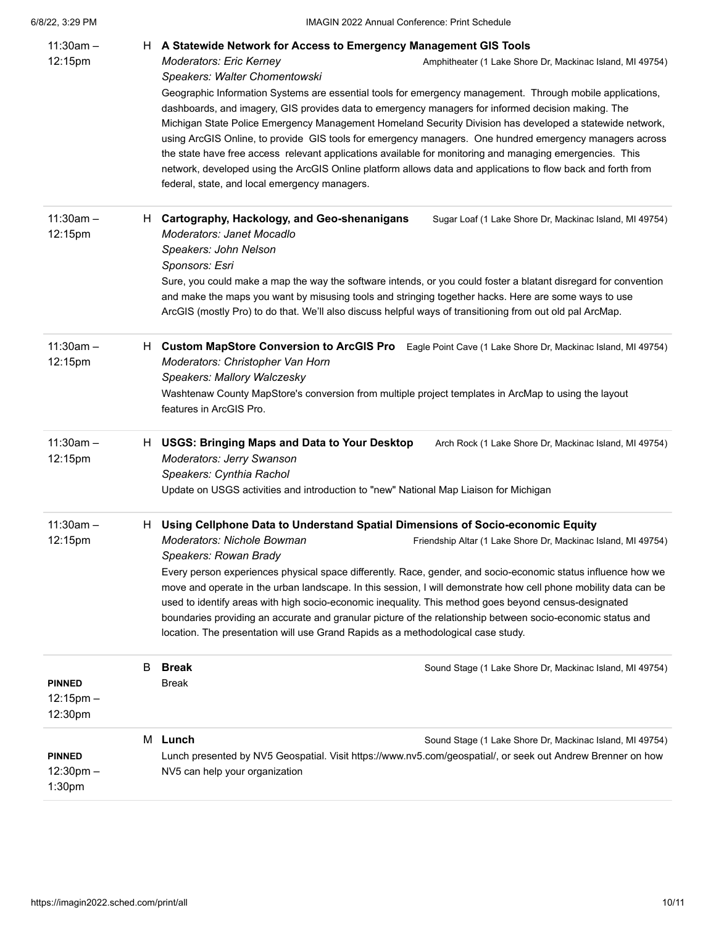| $11:30am -$<br>12:15pm                     | H. | A Statewide Network for Access to Emergency Management GIS Tools<br>Moderators: Eric Kerney<br>Amphitheater (1 Lake Shore Dr, Mackinac Island, MI 49754)<br>Speakers: Walter Chomentowski<br>Geographic Information Systems are essential tools for emergency management. Through mobile applications,<br>dashboards, and imagery, GIS provides data to emergency managers for informed decision making. The<br>Michigan State Police Emergency Management Homeland Security Division has developed a statewide network,<br>using ArcGIS Online, to provide GIS tools for emergency managers. One hundred emergency managers across<br>the state have free access relevant applications available for monitoring and managing emergencies. This<br>network, developed using the ArcGIS Online platform allows data and applications to flow back and forth from<br>federal, state, and local emergency managers. |
|--------------------------------------------|----|------------------------------------------------------------------------------------------------------------------------------------------------------------------------------------------------------------------------------------------------------------------------------------------------------------------------------------------------------------------------------------------------------------------------------------------------------------------------------------------------------------------------------------------------------------------------------------------------------------------------------------------------------------------------------------------------------------------------------------------------------------------------------------------------------------------------------------------------------------------------------------------------------------------|
| $11:30am -$<br>12:15pm                     | H. | Cartography, Hackology, and Geo-shenanigans<br>Sugar Loaf (1 Lake Shore Dr, Mackinac Island, MI 49754)<br>Moderators: Janet Mocadlo<br>Speakers: John Nelson<br>Sponsors: Esri<br>Sure, you could make a map the way the software intends, or you could foster a blatant disregard for convention<br>and make the maps you want by misusing tools and stringing together hacks. Here are some ways to use<br>ArcGIS (mostly Pro) to do that. We'll also discuss helpful ways of transitioning from out old pal ArcMap.                                                                                                                                                                                                                                                                                                                                                                                           |
| $11:30am -$<br>12:15pm                     |    | H Custom MapStore Conversion to ArcGIS Pro<br>Eagle Point Cave (1 Lake Shore Dr, Mackinac Island, MI 49754)<br>Moderators: Christopher Van Horn<br>Speakers: Mallory Walczesky<br>Washtenaw County MapStore's conversion from multiple project templates in ArcMap to using the layout<br>features in ArcGIS Pro.                                                                                                                                                                                                                                                                                                                                                                                                                                                                                                                                                                                                |
| $11:30am -$<br>12:15pm                     |    | H USGS: Bringing Maps and Data to Your Desktop<br>Arch Rock (1 Lake Shore Dr, Mackinac Island, MI 49754)<br>Moderators: Jerry Swanson<br>Speakers: Cynthia Rachol<br>Update on USGS activities and introduction to "new" National Map Liaison for Michigan                                                                                                                                                                                                                                                                                                                                                                                                                                                                                                                                                                                                                                                       |
| $11:30am -$<br>12:15pm                     |    | H Using Cellphone Data to Understand Spatial Dimensions of Socio-economic Equity<br>Moderators: Nichole Bowman<br>Friendship Altar (1 Lake Shore Dr, Mackinac Island, MI 49754)<br>Speakers: Rowan Brady<br>Every person experiences physical space differently. Race, gender, and socio-economic status influence how we<br>move and operate in the urban landscape. In this session, I will demonstrate how cell phone mobility data can be<br>used to identify areas with high socio-economic inequality. This method goes beyond census-designated<br>boundaries providing an accurate and granular picture of the relationship between socio-economic status and<br>location. The presentation will use Grand Rapids as a methodological case study.                                                                                                                                                        |
| <b>PINNED</b><br>$12:15$ pm $-$<br>12:30pm | В  | <b>Break</b><br>Sound Stage (1 Lake Shore Dr, Mackinac Island, MI 49754)<br><b>Break</b>                                                                                                                                                                                                                                                                                                                                                                                                                                                                                                                                                                                                                                                                                                                                                                                                                         |
| <b>PINNED</b><br>$12:30$ pm $-$<br>1:30pm  |    | M Lunch<br>Sound Stage (1 Lake Shore Dr, Mackinac Island, MI 49754)<br>Lunch presented by NV5 Geospatial. Visit https://www.nv5.com/geospatial/, or seek out Andrew Brenner on how<br>NV5 can help your organization                                                                                                                                                                                                                                                                                                                                                                                                                                                                                                                                                                                                                                                                                             |